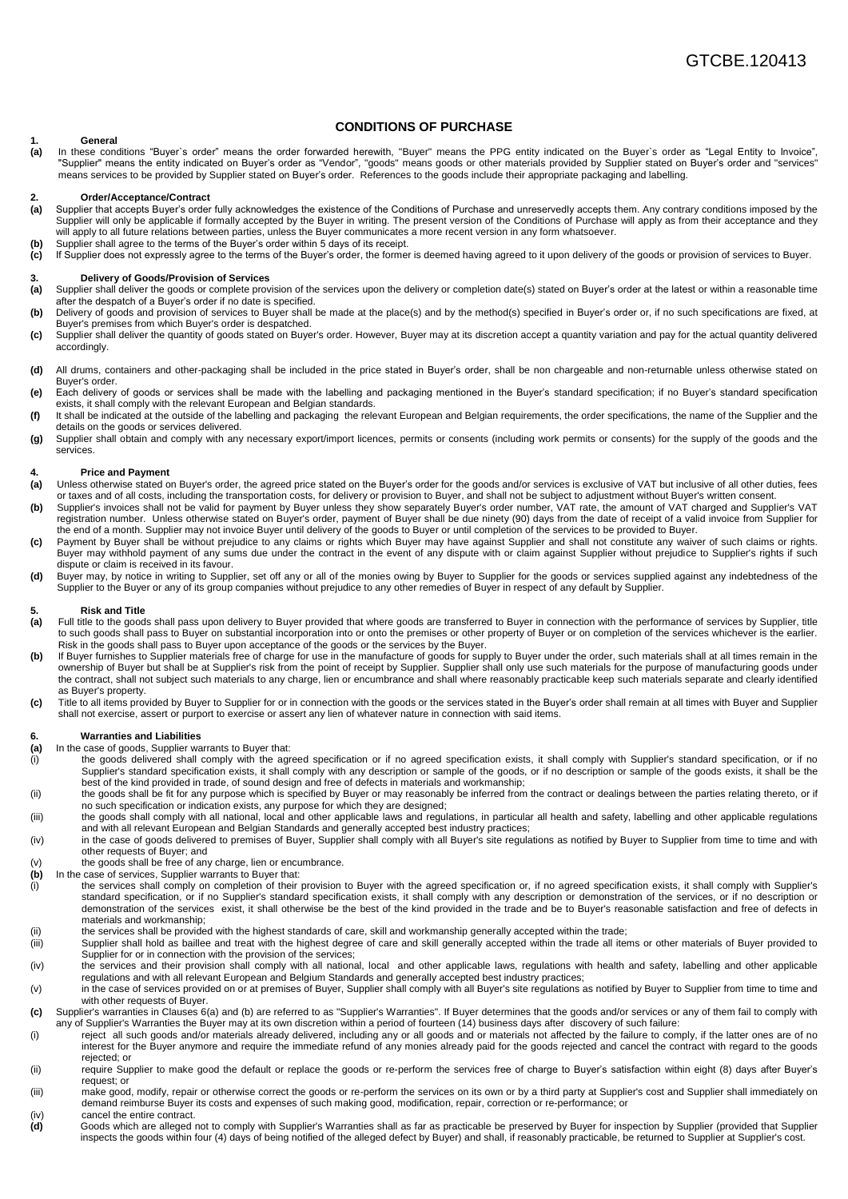# **1. General**

**(a)** In these conditions "Buyer`s order" means the order forwarded herewith, "Buyer" means the PPG entity indicated on the Buyer`s order as "Legal Entity to Invoice", "Supplier" means the entity indicated on Buyer's order as "Vendor", "goods" means goods or other materials provided by Supplier stated on Buyer's order and "services" means services to be provided by Supplier stated on Buyer's order. References to the goods include their appropriate packaging and labelling.

**CONDITIONS OF PURCHASE**

## **2. Order/Acceptance/Contract**

- **(a)** Supplier that accepts Buyer's order fully acknowledges the existence of the Conditions of Purchase and unreservedly accepts them. Any contrary conditions imposed by the Supplier will only be applicable if formally accepted by the Buyer in writing. The present version of the Conditions of Purchase will apply as from their acceptance and they will apply to all future relations between parties, unless the Buyer communicates a more recent version in any form whatsoever.
- **(b)** Supplier shall agree to the terms of the Buyer's order within 5 days of its receipt.
- **(c)** If Supplier does not expressly agree to the terms of the Buyer's order, the former is deemed having agreed to it upon delivery of the goods or provision of services to Buyer.

#### **3. Delivery of Goods/Provision of Services**

- **(a)** Supplier shall deliver the goods or complete provision of the services upon the delivery or completion date(s) stated on Buyer's order at the latest or within a reasonable time after the despatch of a Buyer's order if no date is specified.
- **(b)** Delivery of goods and provision of services to Buyer shall be made at the place(s) and by the method(s) specified in Buyer's order or, if no such specifications are fixed, at Buyer's premises from which Buyer's order is despatched.
- **(c)** Supplier shall deliver the quantity of goods stated on Buyer's order. However, Buyer may at its discretion accept a quantity variation and pay for the actual quantity delivered accordingly.
- **(d)** All drums, containers and other-packaging shall be included in the price stated in Buyer's order, shall be non chargeable and non-returnable unless otherwise stated on Buyer's order.
- **(e)** Each delivery of goods or services shall be made with the labelling and packaging mentioned in the Buyer's standard specification; if no Buyer's standard specification exists, it shall comply with the relevant European and Belgian standards.
- **(f)** It shall be indicated at the outside of the labelling and packaging the relevant European and Belgian requirements, the order specifications, the name of the Supplier and the details on the goods or services delivered.
- **(g)** Supplier shall obtain and comply with any necessary export/import licences, permits or consents (including work permits or consents) for the supply of the goods and the services.

### **4. Price and Payment**

- **(a)** Unless otherwise stated on Buyer's order, the agreed price stated on the Buyer's order for the goods and/or services is exclusive of VAT but inclusive of all other duties, fees or taxes and of all costs, including the transportation costs, for delivery or provision to Buyer, and shall not be subject to adjustment without Buyer's written consent.
- **(b)** Supplier's invoices shall not be valid for payment by Buyer unless they show separately Buyer's order number, VAT rate, the amount of VAT charged and Supplier's VAT registration number. Unless otherwise stated on Buyer's order, payment of Buyer shall be due ninety (90) days from the date of receipt of a valid invoice from Supplier for the end of a month. Supplier may not invoice Buyer until delivery of the goods to Buyer or until completion of the services to be provided to Buyer.
- **(c)** Payment by Buyer shall be without prejudice to any claims or rights which Buyer may have against Supplier and shall not constitute any waiver of such claims or rights. Buyer may withhold payment of any sums due under the contract in the event of any dispute with or claim against Supplier without prejudice to Supplier's rights if such dispute or claim is received in its favour.
- **(d)** Buyer may, by notice in writing to Supplier, set off any or all of the monies owing by Buyer to Supplier for the goods or services supplied against any indebtedness of the Supplier to the Buyer or any of its group companies without prejudice to any other remedies of Buyer in respect of any default by Supplier.

#### **5. Risk and Title**

- (a) Full title to the goods shall pass upon delivery to Buyer provided that where goods are transferred to Buyer in connection with the performance of services by Supplier, title to such goods shall pass to Buyer on substantial incorporation into or onto the premises or other property of Buyer or on completion of the services whichever is the earlier. Risk in the goods shall pass to Buyer upon acceptance of the goods or the services by the Buyer.
- **(b)** If Buyer furnishes to Supplier materials free of charge for use in the manufacture of goods for supply to Buyer under the order, such materials shall at all times remain in the ownership of Buyer but shall be at Supplier's risk from the point of receipt by Supplier. Supplier shall only use such materials for the purpose of manufacturing goods under the contract, shall not subject such materials to any charge, lien or encumbrance and shall where reasonably practicable keep such materials separate and clearly identified as Buyer's property.
- **(c)** Title to all items provided by Buyer to Supplier for or in connection with the goods or the services stated in the Buyer's order shall remain at all times with Buyer and Supplier shall not exercise, assert or purport to exercise or assert any lien of whatever nature in connection with said items.

#### **6. Warranties and Liabilities**

- **(a)** In the case of goods, Supplier warrants to Buyer that:
- (i) the goods delivered shall comply with the agreed specification or if no agreed specification exists, it shall comply with Supplier's standard specification, or if no Supplier's standard specification exists, it shall comply with any description or sample of the goods, or if no description or sample of the goods exists, it shall be the best of the kind provided in trade, of sound design and free of defects in materials and workmanship;
- (ii) the goods shall be fit for any purpose which is specified by Buyer or may reasonably be inferred from the contract or dealings between the parties relating thereto, or if no such specification or indication exists, any purpose for which they are designed;
- (iii) the goods shall comply with all national, local and other applicable laws and regulations, in particular all health and safety, labelling and other applicable regulations and with all relevant European and Belgian Standards and generally accepted best industry practices;
- (iv) in the case of goods delivered to premises of Buyer, Supplier shall comply with all Buyer's site regulations as notified by Buyer to Supplier from time to time and with other requests of Buyer; and
- (v) the goods shall be free of any charge, lien or encumbrance.<br>(b) In the case of services, Supplier warrants to Buyer that:
- **(b)** In the case of services, Supplier warrants to Buyer that:
- (i) the services shall comply on completion of their provision to Buyer with the agreed specification or, if no agreed specification exists, it shall comply with Supplier's standard specification, or if no Supplier's standard specification exists, it shall comply with any description or demonstration of the services, or if no description or demonstration of the services exist, it shall otherwise be the best of the kind provided in the trade and be to Buyer's reasonable satisfaction and free of defects in materials and workmanship;
- 
- (ii) the services shall be provided with the highest standards of care, skill and workmanship generally accepted within the trade;<br>(iii) Supplier shall hold as baillee and treat with the highest degree of care and skill ge Supplier shall hold as baillee and treat with the highest degree of care and skill generally accepted within the trade all items or other materials of Buyer provided to Supplier for or in connection with the provision of the services;
- (iv) the services and their provision shall comply with all national, local and other applicable laws, regulations with health and safety, labelling and other applicable regulations and with all relevant European and Belgium Standards and generally accepted best industry practices;
- (v) in the case of services provided on or at premises of Buyer, Supplier shall comply with all Buyer's site regulations as notified by Buyer to Supplier from time to time and with other requests of Buyer.
- **(c)** Supplier's warranties in Clauses 6(a) and (b) are referred to as "Supplier's Warranties". If Buyer determines that the goods and/or services or any of them fail to comply with any of Supplier's Warranties the Buyer may at its own discretion within a period of fourteen (14) business days after discovery of such failure:
- (i) reject all such goods and/or materials already delivered, including any or all goods and or materials not affected by the failure to comply, if the latter ones are of no interest for the Buyer anymore and require the immediate refund of any monies already paid for the goods rejected and cancel the contract with regard to the goods rejected; or
- (ii) require Supplier to make good the default or replace the goods or re-perform the services free of charge to Buyer's satisfaction within eight (8) days after Buyer's request; or
- (iii) make good, modify, repair or otherwise correct the goods or re-perform the services on its own or by a third party at Supplier's cost and Supplier shall immediately on demand reimburse Buyer its costs and expenses of such making good, modification, repair, correction or re-performance; or
- 
- (iv) cancel the entire contract.<br> **(d)** Goods which are alleged Goods which are alleged not to comply with Supplier's Warranties shall as far as practicable be preserved by Buyer for inspection by Supplier (provided that Supplier inspects the goods within four (4) days of being notified of the alleged defect by Buyer) and shall, if reasonably practicable, be returned to Supplier at Supplier's cost.